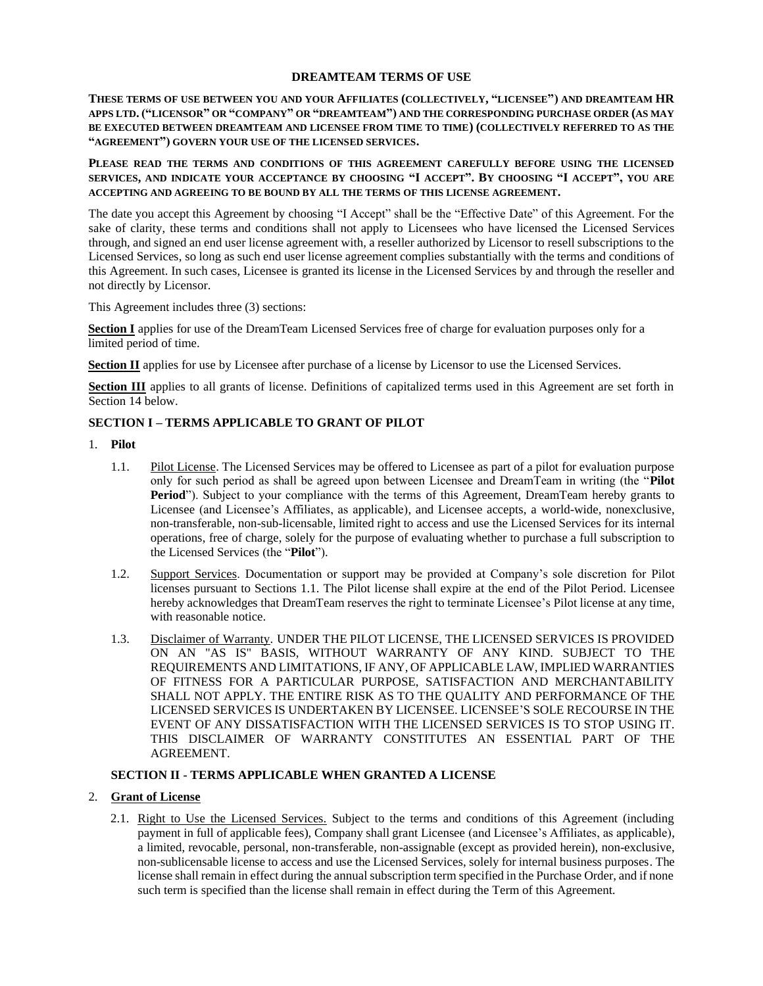### **DREAMTEAM TERMS OF USE**

**THESE TERMS OF USE BETWEEN YOU AND YOUR AFFILIATES (COLLECTIVELY, "LICENSEE") AND DREAMTEAM HR APPS LTD. ("LICENSOR" OR "COMPANY" OR "DREAMTEAM") AND THE CORRESPONDING PURCHASE ORDER (AS MAY BE EXECUTED BETWEEN DREAMTEAM AND LICENSEE FROM TIME TO TIME) (COLLECTIVELY REFERRED TO AS THE "AGREEMENT") GOVERN YOUR USE OF THE LICENSED SERVICES.**

**PLEASE READ THE TERMS AND CONDITIONS OF THIS AGREEMENT CAREFULLY BEFORE USING THE LICENSED SERVICES, AND INDICATE YOUR ACCEPTANCE BY CHOOSING "I ACCEPT". BY CHOOSING "I ACCEPT", YOU ARE ACCEPTING AND AGREEING TO BE BOUND BY ALL THE TERMS OF THIS LICENSE AGREEMENT.**

The date you accept this Agreement by choosing "I Accept" shall be the "Effective Date" of this Agreement. For the sake of clarity, these terms and conditions shall not apply to Licensees who have licensed the Licensed Services through, and signed an end user license agreement with, a reseller authorized by Licensor to resell subscriptions to the Licensed Services, so long as such end user license agreement complies substantially with the terms and conditions of this Agreement. In such cases, Licensee is granted its license in the Licensed Services by and through the reseller and not directly by Licensor.

This Agreement includes three (3) sections:

**Section I** applies for use of the DreamTeam Licensed Services free of charge for evaluation purposes only for a limited period of time.

**Section II** applies for use by Licensee after purchase of a license by Licensor to use the Licensed Services.

**Section III** applies to all grants of license. Definitions of capitalized terms used in this Agreement are set forth in Sectio[n 14](#page-5-0) below.

## **SECTION I – TERMS APPLICABLE TO GRANT OF PILOT**

- <span id="page-0-0"></span>1. **Pilot**
	- 1.1. Pilot License. The Licensed Services may be offered to Licensee as part of a pilot for evaluation purpose only for such period as shall be agreed upon between Licensee and DreamTeam in writing (the "**Pilot Period**"). Subject to your compliance with the terms of this Agreement, DreamTeam hereby grants to Licensee (and Licensee's Affiliates, as applicable), and Licensee accepts, a world-wide, nonexclusive, non-transferable, non-sub-licensable, limited right to access and use the Licensed Services for its internal operations, free of charge, solely for the purpose of evaluating whether to purchase a full subscription to the Licensed Services (the "**Pilot**").
	- 1.2. Support Services. Documentation or support may be provided at Company's sole discretion for Pilot licenses pursuant to Sections [1.1.](#page-0-0) The Pilot license shall expire at the end of the Pilot Period. Licensee hereby acknowledges that DreamTeam reserves the right to terminate Licensee's Pilot license at any time, with reasonable notice.
	- 1.3. Disclaimer of Warranty. UNDER THE PILOT LICENSE, THE LICENSED SERVICES IS PROVIDED ON AN "AS IS" BASIS, WITHOUT WARRANTY OF ANY KIND. SUBJECT TO THE REQUIREMENTS AND LIMITATIONS, IF ANY, OF APPLICABLE LAW, IMPLIED WARRANTIES OF FITNESS FOR A PARTICULAR PURPOSE, SATISFACTION AND MERCHANTABILITY SHALL NOT APPLY. THE ENTIRE RISK AS TO THE QUALITY AND PERFORMANCE OF THE LICENSED SERVICESIS UNDERTAKEN BY LICENSEE. LICENSEE'S SOLE RECOURSE IN THE EVENT OF ANY DISSATISFACTION WITH THE LICENSED SERVICES IS TO STOP USING IT. THIS DISCLAIMER OF WARRANTY CONSTITUTES AN ESSENTIAL PART OF THE AGREEMENT.

### **SECTION II - TERMS APPLICABLE WHEN GRANTED A LICENSE**

## <span id="page-0-2"></span><span id="page-0-1"></span>2. **Grant of License**

2.1. Right to Use the Licensed Services. Subject to the terms and conditions of this Agreement (including payment in full of applicable fees), Company shall grant Licensee (and Licensee's Affiliates, as applicable), a limited, revocable, personal, non-transferable, non-assignable (except as provided herein), non-exclusive, non-sublicensable license to access and use the Licensed Services, solely for internal business purposes. The license shall remain in effect during the annual subscription term specified in the Purchase Order, and if none such term is specified than the license shall remain in effect during the Term of this Agreement.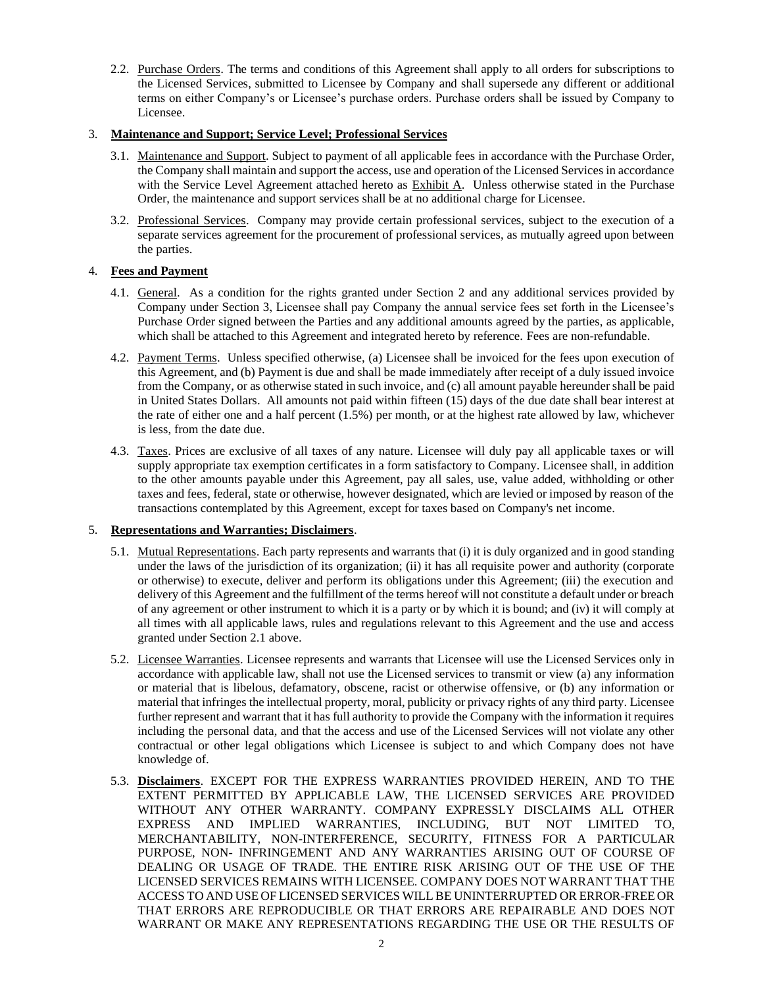2.2. Purchase Orders. The terms and conditions of this Agreement shall apply to all orders for subscriptions to the Licensed Services, submitted to Licensee by Company and shall supersede any different or additional terms on either Company's or Licensee's purchase orders. Purchase orders shall be issued by Company to Licensee.

## <span id="page-1-0"></span>3. **Maintenance and Support; Service Level; Professional Services**

- 3.1. Maintenance and Support. Subject to payment of all applicable fees in accordance with the Purchase Order, the Company shall maintain and support the access, use and operation of the Licensed Services in accordance with the Service Level Agreement attached hereto as  $\frac{Exhibit A}{.}$  Unless otherwise stated in the Purchase Order, the maintenance and support services shall be at no additional charge for Licensee.
- 3.2. Professional Services. Company may provide certain professional services, subject to the execution of a separate services agreement for the procurement of professional services, as mutually agreed upon between the parties.

## 4. **Fees and Payment**

- 4.1. General. As a condition for the rights granted under Section [2](#page-0-1) and any additional services provided by Company under Section [3,](#page-1-0) Licensee shall pay Company the annual service fees set forth in the Licensee's Purchase Order signed between the Parties and any additional amounts agreed by the parties, as applicable, which shall be attached to this Agreement and integrated hereto by reference. Fees are non-refundable.
- <span id="page-1-1"></span>4.2. Payment Terms. Unless specified otherwise, (a) Licensee shall be invoiced for the fees upon execution of this Agreement, and (b) Payment is due and shall be made immediately after receipt of a duly issued invoice from the Company, or as otherwise stated in such invoice, and (c) all amount payable hereunder shall be paid in United States Dollars. All amounts not paid within fifteen (15) days of the due date shall bear interest at the rate of either one and a half percent (1.5%) per month, or at the highest rate allowed by law, whichever is less, from the date due.
- 4.3. Taxes. Prices are exclusive of all taxes of any nature. Licensee will duly pay all applicable taxes or will supply appropriate tax exemption certificates in a form satisfactory to Company. Licensee shall, in addition to the other amounts payable under this Agreement, pay all sales, use, value added, withholding or other taxes and fees, federal, state or otherwise, however designated, which are levied or imposed by reason of the transactions contemplated by this Agreement, except for taxes based on Company's net income.

## <span id="page-1-2"></span>5. **Representations and Warranties; Disclaimers**.

- 5.1. Mutual Representations. Each party represents and warrants that (i) it is duly organized and in good standing under the laws of the jurisdiction of its organization; (ii) it has all requisite power and authority (corporate or otherwise) to execute, deliver and perform its obligations under this Agreement; (iii) the execution and delivery of this Agreement and the fulfillment of the terms hereof will not constitute a default under or breach of any agreement or other instrument to which it is a party or by which it is bound; and (iv) it will comply at all times with all applicable laws, rules and regulations relevant to this Agreement and the use and access granted under Sectio[n 2.1](#page-0-2) above.
- 5.2. Licensee Warranties. Licensee represents and warrants that Licensee will use the Licensed Services only in accordance with applicable law, shall not use the Licensed services to transmit or view (a) any information or material that is libelous, defamatory, obscene, racist or otherwise offensive, or (b) any information or material that infringes the intellectual property, moral, publicity or privacy rights of any third party. Licensee further represent and warrant that it has full authority to provide the Company with the information it requires including the personal data, and that the access and use of the Licensed Services will not violate any other contractual or other legal obligations which Licensee is subject to and which Company does not have knowledge of.
- 5.3. **Disclaimers**. EXCEPT FOR THE EXPRESS WARRANTIES PROVIDED HEREIN, AND TO THE EXTENT PERMITTED BY APPLICABLE LAW, THE LICENSED SERVICES ARE PROVIDED WITHOUT ANY OTHER WARRANTY. COMPANY EXPRESSLY DISCLAIMS ALL OTHER EXPRESS AND IMPLIED WARRANTIES, INCLUDING, BUT NOT LIMITED TO, MERCHANTABILITY, NON-INTERFERENCE, SECURITY, FITNESS FOR A PARTICULAR PURPOSE, NON- INFRINGEMENT AND ANY WARRANTIES ARISING OUT OF COURSE OF DEALING OR USAGE OF TRADE. THE ENTIRE RISK ARISING OUT OF THE USE OF THE LICENSED SERVICES REMAINS WITH LICENSEE. COMPANY DOES NOT WARRANT THAT THE ACCESS TO AND USE OF LICENSED SERVICES WILL BE UNINTERRUPTED OR ERROR-FREE OR THAT ERRORS ARE REPRODUCIBLE OR THAT ERRORS ARE REPAIRABLE AND DOES NOT WARRANT OR MAKE ANY REPRESENTATIONS REGARDING THE USE OR THE RESULTS OF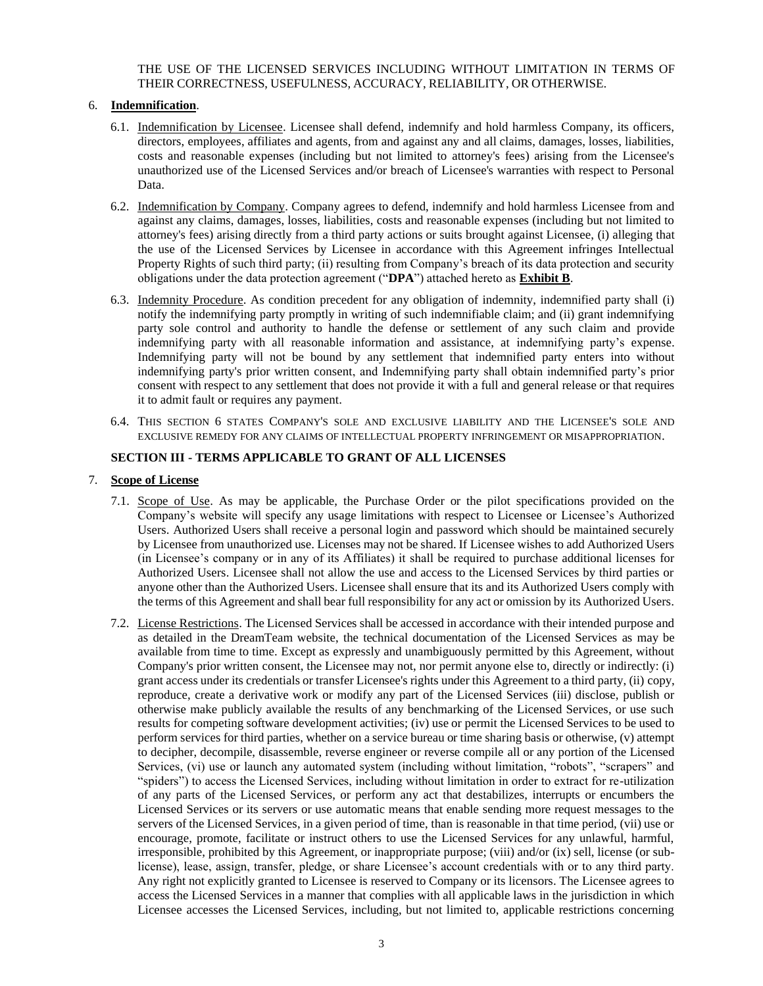THE USE OF THE LICENSED SERVICES INCLUDING WITHOUT LIMITATION IN TERMS OF THEIR CORRECTNESS, USEFULNESS, ACCURACY, RELIABILITY, OR OTHERWISE.

### <span id="page-2-0"></span>6. **Indemnification**.

- 6.1. Indemnification by Licensee. Licensee shall defend, indemnify and hold harmless Company, its officers, directors, employees, affiliates and agents, from and against any and all claims, damages, losses, liabilities, costs and reasonable expenses (including but not limited to attorney's fees) arising from the Licensee's unauthorized use of the Licensed Services and/or breach of Licensee's warranties with respect to Personal Data.
- 6.2. Indemnification by Company. Company agrees to defend, indemnify and hold harmless Licensee from and against any claims, damages, losses, liabilities, costs and reasonable expenses (including but not limited to attorney's fees) arising directly from a third party actions or suits brought against Licensee, (i) alleging that the use of the Licensed Services by Licensee in accordance with this Agreement infringes Intellectual Property Rights of such third party; (ii) resulting from Company's breach of its data protection and security obligations under the data protection agreement ("**DPA**") attached hereto as **Exhibit B**.
- 6.3. Indemnity Procedure. As condition precedent for any obligation of indemnity, indemnified party shall (i) notify the indemnifying party promptly in writing of such indemnifiable claim; and (ii) grant indemnifying party sole control and authority to handle the defense or settlement of any such claim and provide indemnifying party with all reasonable information and assistance, at indemnifying party's expense. Indemnifying party will not be bound by any settlement that indemnified party enters into without indemnifying party's prior written consent, and Indemnifying party shall obtain indemnified party's prior consent with respect to any settlement that does not provide it with a full and general release or that requires it to admit fault or requires any payment.
- 6.4. THIS SECTION [6](#page-2-0) STATES COMPANY'S SOLE AND EXCLUSIVE LIABILITY AND THE LICENSEE'S SOLE AND EXCLUSIVE REMEDY FOR ANY CLAIMS OF INTELLECTUAL PROPERTY INFRINGEMENT OR MISAPPROPRIATION.

### **SECTION III - TERMS APPLICABLE TO GRANT OF ALL LICENSES**

### <span id="page-2-1"></span>7. **Scope of License**

- 7.1. Scope of Use. As may be applicable, the Purchase Order or the pilot specifications provided on the Company's website will specify any usage limitations with respect to Licensee or Licensee's Authorized Users. Authorized Users shall receive a personal login and password which should be maintained securely by Licensee from unauthorized use. Licenses may not be shared. If Licensee wishes to add Authorized Users (in Licensee's company or in any of its Affiliates) it shall be required to purchase additional licenses for Authorized Users. Licensee shall not allow the use and access to the Licensed Services by third parties or anyone other than the Authorized Users. Licensee shall ensure that its and its Authorized Users comply with the terms of this Agreement and shall bear full responsibility for any act or omission by its Authorized Users.
- 7.2. License Restrictions. The Licensed Services shall be accessed in accordance with their intended purpose and as detailed in the DreamTeam website, the technical documentation of the Licensed Services as may be available from time to time. Except as expressly and unambiguously permitted by this Agreement, without Company's prior written consent, the Licensee may not, nor permit anyone else to, directly or indirectly: (i) grant access under its credentials or transfer Licensee's rights under this Agreement to a third party, (ii) copy, reproduce, create a derivative work or modify any part of the Licensed Services (iii) disclose, publish or otherwise make publicly available the results of any benchmarking of the Licensed Services, or use such results for competing software development activities; (iv) use or permit the Licensed Services to be used to perform services for third parties, whether on a service bureau or time sharing basis or otherwise, (v) attempt to decipher, decompile, disassemble, reverse engineer or reverse compile all or any portion of the Licensed Services, (vi) use or launch any automated system (including without limitation, "robots", "scrapers" and "spiders") to access the Licensed Services, including without limitation in order to extract for re-utilization of any parts of the Licensed Services, or perform any act that destabilizes, interrupts or encumbers the Licensed Services or its servers or use automatic means that enable sending more request messages to the servers of the Licensed Services, in a given period of time, than is reasonable in that time period, (vii) use or encourage, promote, facilitate or instruct others to use the Licensed Services for any unlawful, harmful, irresponsible, prohibited by this Agreement, or inappropriate purpose; (viii) and/or (ix) sell, license (or sublicense), lease, assign, transfer, pledge, or share Licensee's account credentials with or to any third party. Any right not explicitly granted to Licensee is reserved to Company or its licensors. The Licensee agrees to access the Licensed Services in a manner that complies with all applicable laws in the jurisdiction in which Licensee accesses the Licensed Services, including, but not limited to, applicable restrictions concerning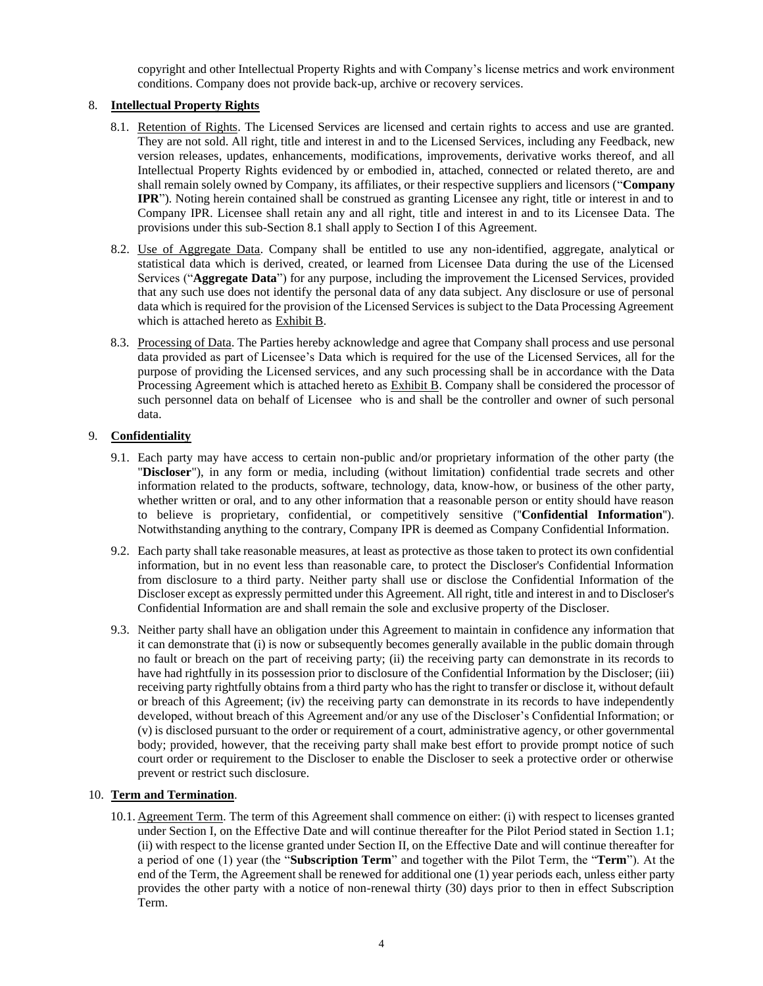copyright and other Intellectual Property Rights and with Company's license metrics and work environment conditions. Company does not provide back-up, archive or recovery services.

## <span id="page-3-1"></span><span id="page-3-0"></span>8. **Intellectual Property Rights**

- 8.1. Retention of Rights. The Licensed Services are licensed and certain rights to access and use are granted. They are not sold. All right, title and interest in and to the Licensed Services, including any Feedback, new version releases, updates, enhancements, modifications, improvements, derivative works thereof, and all Intellectual Property Rights evidenced by or embodied in, attached, connected or related thereto, are and shall remain solely owned by Company, its affiliates, or their respective suppliers and licensors ("**Company IPR**"). Noting herein contained shall be construed as granting Licensee any right, title or interest in and to Company IPR. Licensee shall retain any and all right, title and interest in and to its Licensee Data. The provisions under this sub-Sectio[n 8.1](#page-3-0) shall apply to Section I of this Agreement.
- 8.2. Use of Aggregate Data. Company shall be entitled to use any non-identified, aggregate, analytical or statistical data which is derived, created, or learned from Licensee Data during the use of the Licensed Services ("**Aggregate Data**") for any purpose, including the improvement the Licensed Services, provided that any such use does not identify the personal data of any data subject. Any disclosure or use of personal data which is required for the provision of the Licensed Services is subject to the Data Processing Agreement which is attached hereto as Exhibit B.
- 8.3. Processing of Data. The Parties hereby acknowledge and agree that Company shall process and use personal data provided as part of Licensee's Data which is required for the use of the Licensed Services, all for the purpose of providing the Licensed services, and any such processing shall be in accordance with the Data Processing Agreement which is attached hereto as Exhibit B. Company shall be considered the processor of such personnel data on behalf of Licensee who is and shall be the controller and owner of such personal data.

## <span id="page-3-2"></span>9. **Confidentiality**

- 9.1. Each party may have access to certain non-public and/or proprietary information of the other party (the "**Discloser**"), in any form or media, including (without limitation) confidential trade secrets and other information related to the products, software, technology, data, know-how, or business of the other party, whether written or oral, and to any other information that a reasonable person or entity should have reason to believe is proprietary, confidential, or competitively sensitive (''**Confidential Information**''). Notwithstanding anything to the contrary, Company IPR is deemed as Company Confidential Information.
- 9.2. Each party shall take reasonable measures, at least as protective as those taken to protect its own confidential information, but in no event less than reasonable care, to protect the Discloser's Confidential Information from disclosure to a third party. Neither party shall use or disclose the Confidential Information of the Discloser except as expressly permitted under this Agreement. All right, title and interest in and to Discloser's Confidential Information are and shall remain the sole and exclusive property of the Discloser.
- 9.3. Neither party shall have an obligation under this Agreement to maintain in confidence any information that it can demonstrate that (i) is now or subsequently becomes generally available in the public domain through no fault or breach on the part of receiving party; (ii) the receiving party can demonstrate in its records to have had rightfully in its possession prior to disclosure of the Confidential Information by the Discloser; (iii) receiving party rightfully obtains from a third party who has the right to transfer or disclose it, without default or breach of this Agreement; (iv) the receiving party can demonstrate in its records to have independently developed, without breach of this Agreement and/or any use of the Discloser's Confidential Information; or (v) is disclosed pursuant to the order or requirement of a court, administrative agency, or other governmental body; provided, however, that the receiving party shall make best effort to provide prompt notice of such court order or requirement to the Discloser to enable the Discloser to seek a protective order or otherwise prevent or restrict such disclosure.

## <span id="page-3-3"></span>10. **Term and Termination**.

10.1. Agreement Term. The term of this Agreement shall commence on either: (i) with respect to licenses granted under Section I, on the Effective Date and will continue thereafter for the Pilot Period stated in Section 1.1; (ii) with respect to the license granted under Section II, on the Effective Date and will continue thereafter for a period of one (1) year (the "**Subscription Term**" and together with the Pilot Term, the "**Term**"). At the end of the Term, the Agreement shall be renewed for additional one (1) year periods each, unless either party provides the other party with a notice of non-renewal thirty (30) days prior to then in effect Subscription Term.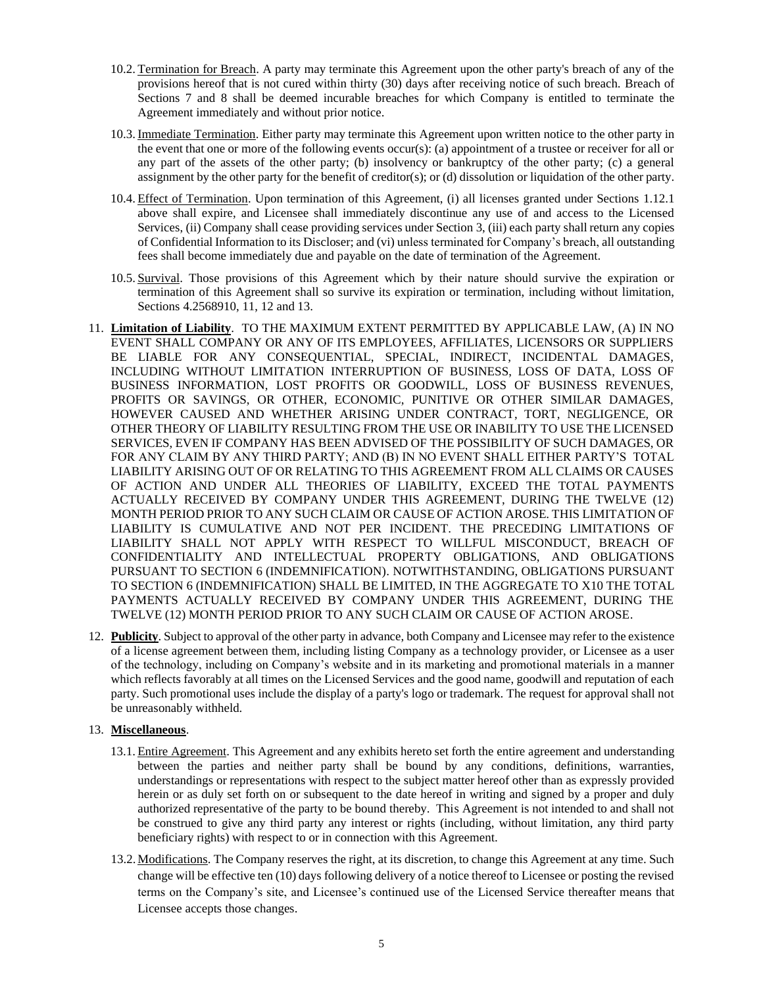- 10.2. Termination for Breach. A party may terminate this Agreement upon the other party's breach of any of the provisions hereof that is not cured within thirty (30) days after receiving notice of such breach. Breach of Sections [7](#page-2-1) and [8](#page-3-1) shall be deemed incurable breaches for which Company is entitled to terminate the Agreement immediately and without prior notice.
- 10.3. Immediate Termination. Either party may terminate this Agreement upon written notice to the other party in the event that one or more of the following events occur(s): (a) appointment of a trustee or receiver for all or any part of the assets of the other party; (b) insolvency or bankruptcy of the other party; (c) a general assignment by the other party for the benefit of creditor(s); or (d) dissolution or liquidation of the other party.
- 10.4. Effect of Termination. Upon termination of this Agreement, (i) all licenses granted under Sections [1.1](#page-0-0)[2.1](#page-0-2) above shall expire, and Licensee shall immediately discontinue any use of and access to the Licensed Services, (ii) Company shall cease providing services under Section [3,](#page-1-0) (iii) each party shall return any copies of Confidential Information to its Discloser; and (vi) unless terminated for Company's breach, all outstanding fees shall become immediately due and payable on the date of termination of the Agreement.
- 10.5. Survival. Those provisions of this Agreement which by their nature should survive the expiration or termination of this Agreement shall so survive its expiration or termination, including without limitation, Section[s 4.2](#page-1-1)[5](#page-1-2)[6](#page-2-0)[8](#page-3-1)[9](#page-3-2)[10,](#page-3-3) [11,](#page-4-0) [12](#page-4-1) an[d 13.](#page-4-2)
- <span id="page-4-0"></span>11. **Limitation of Liability**. TO THE MAXIMUM EXTENT PERMITTED BY APPLICABLE LAW, (A) IN NO EVENT SHALL COMPANY OR ANY OF ITS EMPLOYEES, AFFILIATES, LICENSORS OR SUPPLIERS BE LIABLE FOR ANY CONSEQUENTIAL, SPECIAL, INDIRECT, INCIDENTAL DAMAGES, INCLUDING WITHOUT LIMITATION INTERRUPTION OF BUSINESS, LOSS OF DATA, LOSS OF BUSINESS INFORMATION, LOST PROFITS OR GOODWILL, LOSS OF BUSINESS REVENUES, PROFITS OR SAVINGS, OR OTHER, ECONOMIC, PUNITIVE OR OTHER SIMILAR DAMAGES, HOWEVER CAUSED AND WHETHER ARISING UNDER CONTRACT, TORT, NEGLIGENCE, OR OTHER THEORY OF LIABILITY RESULTING FROM THE USE OR INABILITY TO USE THE LICENSED SERVICES, EVEN IF COMPANY HAS BEEN ADVISED OF THE POSSIBILITY OF SUCH DAMAGES, OR FOR ANY CLAIM BY ANY THIRD PARTY; AND (B) IN NO EVENT SHALL EITHER PARTY'S TOTAL LIABILITY ARISING OUT OF OR RELATING TO THIS AGREEMENT FROM ALL CLAIMS OR CAUSES OF ACTION AND UNDER ALL THEORIES OF LIABILITY, EXCEED THE TOTAL PAYMENTS ACTUALLY RECEIVED BY COMPANY UNDER THIS AGREEMENT, DURING THE TWELVE (12) MONTH PERIOD PRIOR TO ANY SUCH CLAIM OR CAUSE OF ACTION AROSE. THIS LIMITATION OF LIABILITY IS CUMULATIVE AND NOT PER INCIDENT. THE PRECEDING LIMITATIONS OF LIABILITY SHALL NOT APPLY WITH RESPECT TO WILLFUL MISCONDUCT, BREACH OF CONFIDENTIALITY AND INTELLECTUAL PROPERTY OBLIGATIONS, AND OBLIGATIONS PURSUANT TO SECTION 6 (INDEMNIFICATION). NOTWITHSTANDING, OBLIGATIONS PURSUANT TO SECTION 6 (INDEMNIFICATION) SHALL BE LIMITED, IN THE AGGREGATE TO X10 THE TOTAL PAYMENTS ACTUALLY RECEIVED BY COMPANY UNDER THIS AGREEMENT, DURING THE TWELVE (12) MONTH PERIOD PRIOR TO ANY SUCH CLAIM OR CAUSE OF ACTION AROSE.
- <span id="page-4-1"></span>12. **Publicity**. Subject to approval of the other party in advance, both Company and Licensee may refer to the existence of a license agreement between them, including listing Company as a technology provider, or Licensee as a user of the technology, including on Company's website and in its marketing and promotional materials in a manner which reflects favorably at all times on the Licensed Services and the good name, goodwill and reputation of each party. Such promotional uses include the display of a party's logo or trademark. The request for approval shall not be unreasonably withheld.

## <span id="page-4-2"></span>13. **Miscellaneous**.

- 13.1. Entire Agreement. This Agreement and any exhibits hereto set forth the entire agreement and understanding between the parties and neither party shall be bound by any conditions, definitions, warranties, understandings or representations with respect to the subject matter hereof other than as expressly provided herein or as duly set forth on or subsequent to the date hereof in writing and signed by a proper and duly authorized representative of the party to be bound thereby. This Agreement is not intended to and shall not be construed to give any third party any interest or rights (including, without limitation, any third party beneficiary rights) with respect to or in connection with this Agreement.
- 13.2. Modifications. The Company reserves the right, at its discretion, to change this Agreement at any time. Such change will be effective ten (10) days following delivery of a notice thereof to Licensee or posting the revised terms on the Company's site, and Licensee's continued use of the Licensed Service thereafter means that Licensee accepts those changes.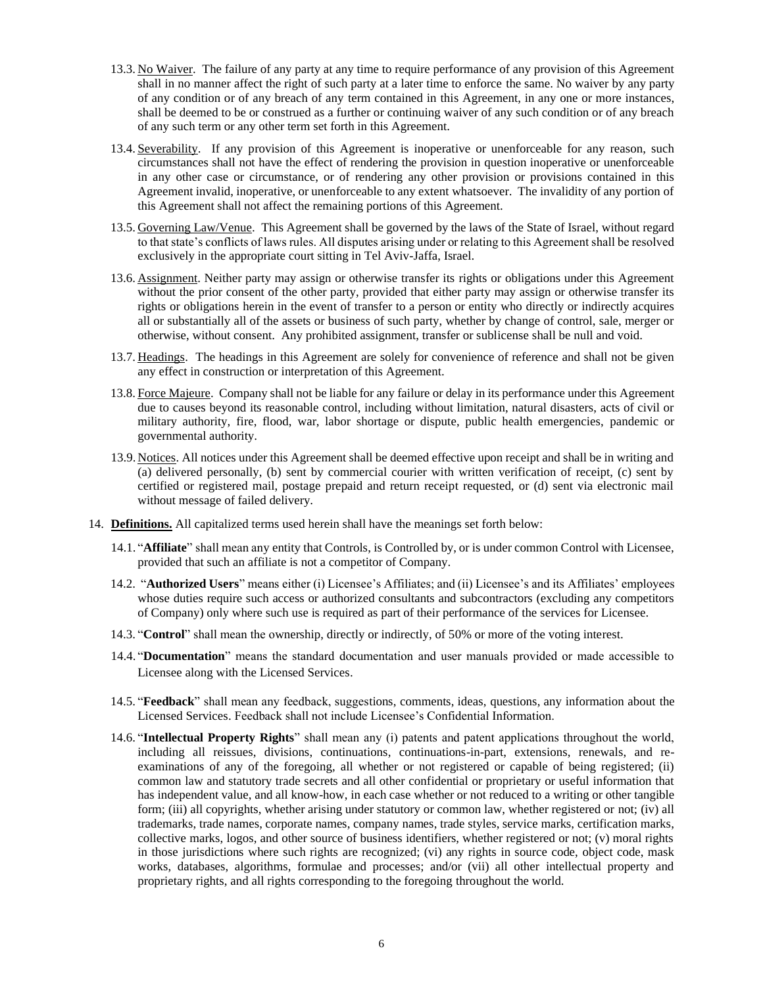- 13.3. No Waiver. The failure of any party at any time to require performance of any provision of this Agreement shall in no manner affect the right of such party at a later time to enforce the same. No waiver by any party of any condition or of any breach of any term contained in this Agreement, in any one or more instances, shall be deemed to be or construed as a further or continuing waiver of any such condition or of any breach of any such term or any other term set forth in this Agreement.
- 13.4.Severability. If any provision of this Agreement is inoperative or unenforceable for any reason, such circumstances shall not have the effect of rendering the provision in question inoperative or unenforceable in any other case or circumstance, or of rendering any other provision or provisions contained in this Agreement invalid, inoperative, or unenforceable to any extent whatsoever. The invalidity of any portion of this Agreement shall not affect the remaining portions of this Agreement.
- 13.5. Governing Law/Venue. This Agreement shall be governed by the laws of the State of Israel, without regard to that state's conflicts of laws rules. All disputes arising under or relating to this Agreement shall be resolved exclusively in the appropriate court sitting in Tel Aviv-Jaffa, Israel.
- 13.6. Assignment. Neither party may assign or otherwise transfer its rights or obligations under this Agreement without the prior consent of the other party, provided that either party may assign or otherwise transfer its rights or obligations herein in the event of transfer to a person or entity who directly or indirectly acquires all or substantially all of the assets or business of such party, whether by change of control, sale, merger or otherwise, without consent. Any prohibited assignment, transfer or sublicense shall be null and void.
- 13.7. Headings. The headings in this Agreement are solely for convenience of reference and shall not be given any effect in construction or interpretation of this Agreement.
- 13.8. Force Majeure. Company shall not be liable for any failure or delay in its performance under this Agreement due to causes beyond its reasonable control, including without limitation, natural disasters, acts of civil or military authority, fire, flood, war, labor shortage or dispute, public health emergencies, pandemic or governmental authority.
- 13.9. Notices. All notices under this Agreement shall be deemed effective upon receipt and shall be in writing and (a) delivered personally, (b) sent by commercial courier with written verification of receipt, (c) sent by certified or registered mail, postage prepaid and return receipt requested, or (d) sent via electronic mail without message of failed delivery.
- <span id="page-5-0"></span>14. **Definitions.** All capitalized terms used herein shall have the meanings set forth below:
	- 14.1. "**Affiliate**" shall mean any entity that Controls, is Controlled by, or is under common Control with Licensee, provided that such an affiliate is not a competitor of Company.
	- 14.2. "**Authorized Users**" means either (i) Licensee's Affiliates; and (ii) Licensee's and its Affiliates' employees whose duties require such access or authorized consultants and subcontractors (excluding any competitors of Company) only where such use is required as part of their performance of the services for Licensee.
	- 14.3. "**Control**" shall mean the ownership, directly or indirectly, of 50% or more of the voting interest.
	- 14.4. "**Documentation**" means the standard documentation and user manuals provided or made accessible to Licensee along with the Licensed Services.
	- 14.5. "**Feedback**" shall mean any feedback, suggestions, comments, ideas, questions, any information about the Licensed Services. Feedback shall not include Licensee's Confidential Information.
	- 14.6. "**Intellectual Property Rights**" shall mean any (i) patents and patent applications throughout the world, including all reissues, divisions, continuations, continuations-in-part, extensions, renewals, and reexaminations of any of the foregoing, all whether or not registered or capable of being registered; (ii) common law and statutory trade secrets and all other confidential or proprietary or useful information that has independent value, and all know-how, in each case whether or not reduced to a writing or other tangible form; (iii) all copyrights, whether arising under statutory or common law, whether registered or not; (iv) all trademarks, trade names, corporate names, company names, trade styles, service marks, certification marks, collective marks, logos, and other source of business identifiers, whether registered or not; (v) moral rights in those jurisdictions where such rights are recognized; (vi) any rights in source code, object code, mask works, databases, algorithms, formulae and processes; and/or (vii) all other intellectual property and proprietary rights, and all rights corresponding to the foregoing throughout the world.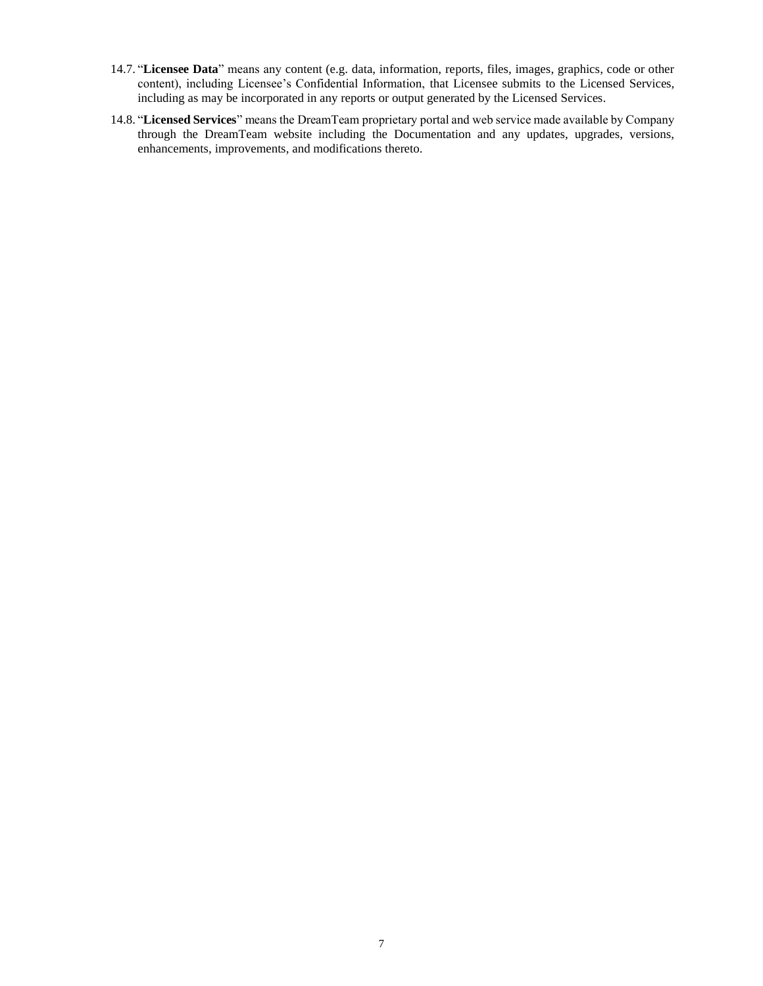- 14.7. "**Licensee Data**" means any content (e.g. data, information, reports, files, images, graphics, code or other content), including Licensee's Confidential Information, that Licensee submits to the Licensed Services, including as may be incorporated in any reports or output generated by the Licensed Services.
- 14.8. "**Licensed Services**" means the DreamTeam proprietary portal and web service made available by Company through the DreamTeam website including the Documentation and any updates, upgrades, versions, enhancements, improvements, and modifications thereto.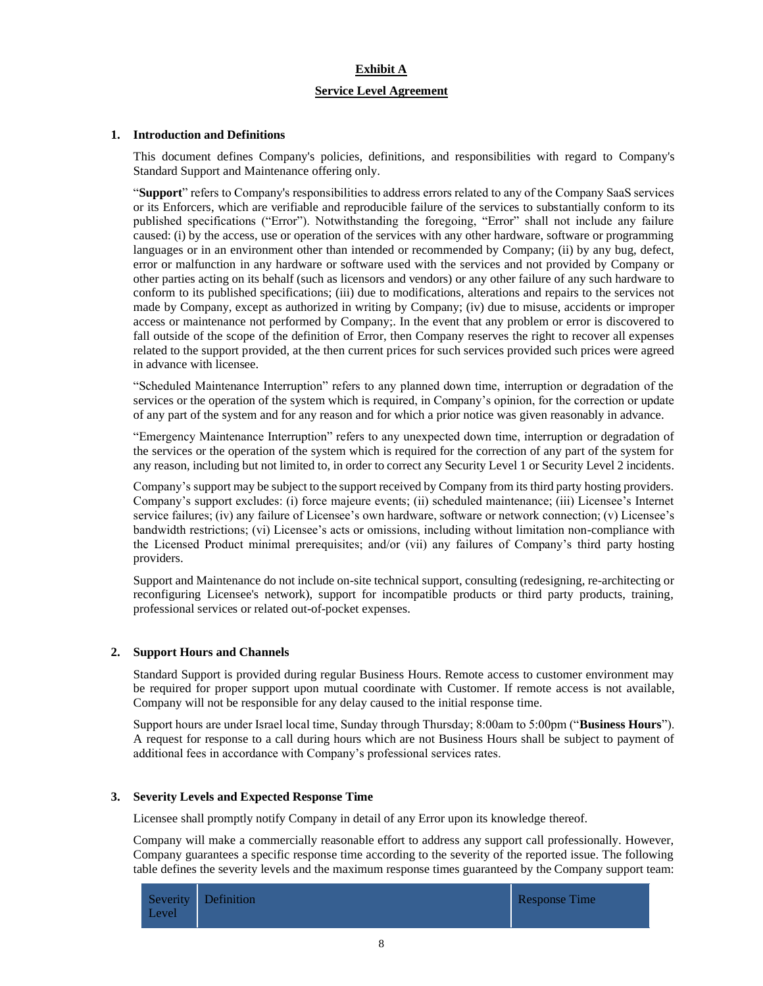## **Exhibit A**

## **Service Level Agreement**

### **1. Introduction and Definitions**

This document defines Company's policies, definitions, and responsibilities with regard to Company's Standard Support and Maintenance offering only.

"**Support**" refers to Company's responsibilities to address errors related to any of the Company SaaS services or its Enforcers, which are verifiable and reproducible failure of the services to substantially conform to its published specifications ("Error"). Notwithstanding the foregoing, "Error" shall not include any failure caused: (i) by the access, use or operation of the services with any other hardware, software or programming languages or in an environment other than intended or recommended by Company; (ii) by any bug, defect, error or malfunction in any hardware or software used with the services and not provided by Company or other parties acting on its behalf (such as licensors and vendors) or any other failure of any such hardware to conform to its published specifications; (iii) due to modifications, alterations and repairs to the services not made by Company, except as authorized in writing by Company; (iv) due to misuse, accidents or improper access or maintenance not performed by Company;. In the event that any problem or error is discovered to fall outside of the scope of the definition of Error, then Company reserves the right to recover all expenses related to the support provided, at the then current prices for such services provided such prices were agreed in advance with licensee.

"Scheduled Maintenance Interruption" refers to any planned down time, interruption or degradation of the services or the operation of the system which is required, in Company's opinion, for the correction or update of any part of the system and for any reason and for which a prior notice was given reasonably in advance.

"Emergency Maintenance Interruption" refers to any unexpected down time, interruption or degradation of the services or the operation of the system which is required for the correction of any part of the system for any reason, including but not limited to, in order to correct any Security Level 1 or Security Level 2 incidents.

Company's support may be subject to the support received by Company from its third party hosting providers. Company's support excludes: (i) force majeure events; (ii) scheduled maintenance; (iii) Licensee's Internet service failures; (iv) any failure of Licensee's own hardware, software or network connection; (v) Licensee's bandwidth restrictions; (vi) Licensee's acts or omissions, including without limitation non-compliance with the Licensed Product minimal prerequisites; and/or (vii) any failures of Company's third party hosting providers.

Support and Maintenance do not include on-site technical support, consulting (redesigning, re-architecting or reconfiguring Licensee's network), support for incompatible products or third party products, training, professional services or related out-of-pocket expenses.

### **2. Support Hours and Channels**

Standard Support is provided during regular Business Hours. Remote access to customer environment may be required for proper support upon mutual coordinate with Customer. If remote access is not available, Company will not be responsible for any delay caused to the initial response time.

Support hours are under Israel local time, Sunday through Thursday; 8:00am to 5:00pm ("**Business Hours**"). A request for response to a call during hours which are not Business Hours shall be subject to payment of additional fees in accordance with Company's professional services rates.

### **3. Severity Levels and Expected Response Time**

Licensee shall promptly notify Company in detail of any Error upon its knowledge thereof.

Company will make a commercially reasonable effort to address any support call professionally. However, Company guarantees a specific response time according to the severity of the reported issue. The following table defines the severity levels and the maximum response times guaranteed by the Company support team:

| Severity Definition<br>Level | Response Time |
|------------------------------|---------------|
|------------------------------|---------------|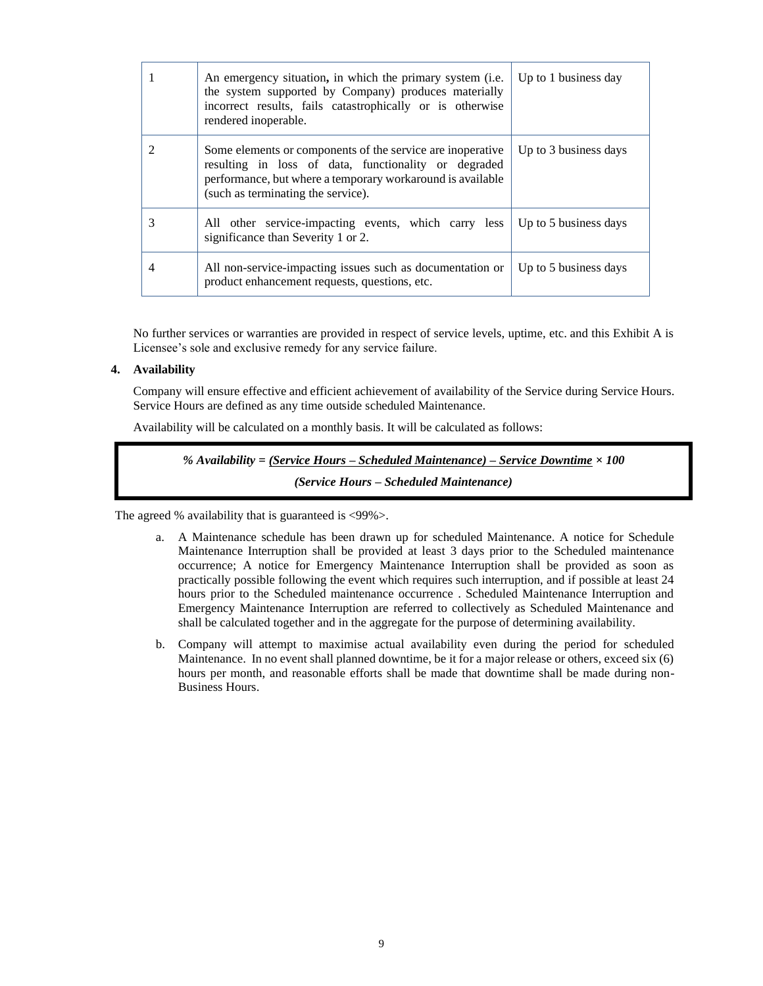|  |   | An emergency situation, in which the primary system (i.e.<br>the system supported by Company) produces materially<br>incorrect results, fails catastrophically or is otherwise<br>rendered inoperable.                 | Up to 1 business day  |
|--|---|------------------------------------------------------------------------------------------------------------------------------------------------------------------------------------------------------------------------|-----------------------|
|  | 2 | Some elements or components of the service are inoperative<br>resulting in loss of data, functionality or degraded<br>performance, but where a temporary workaround is available<br>(such as terminating the service). | Up to 3 business days |
|  | 3 | All other service-impacting events, which carry less<br>significance than Severity 1 or 2.                                                                                                                             | Up to 5 business days |
|  | 4 | All non-service-impacting issues such as documentation or<br>product enhancement requests, questions, etc.                                                                                                             | Up to 5 business days |

No further services or warranties are provided in respect of service levels, uptime, etc. and this Exhibit A is Licensee's sole and exclusive remedy for any service failure.

### **4. Availability**

Company will ensure effective and efficient achievement of availability of the Service during Service Hours. Service Hours are defined as any time outside scheduled Maintenance.

Availability will be calculated on a monthly basis. It will be calculated as follows:

# *% Availability = (Service Hours – Scheduled Maintenance) – Service Downtime × 100 (Service Hours – Scheduled Maintenance)*

The agreed % availability that is guaranteed is <99%>.

- a. A Maintenance schedule has been drawn up for scheduled Maintenance. A notice for Schedule Maintenance Interruption shall be provided at least 3 days prior to the Scheduled maintenance occurrence; A notice for Emergency Maintenance Interruption shall be provided as soon as practically possible following the event which requires such interruption, and if possible at least 24 hours prior to the Scheduled maintenance occurrence . Scheduled Maintenance Interruption and Emergency Maintenance Interruption are referred to collectively as Scheduled Maintenance and shall be calculated together and in the aggregate for the purpose of determining availability.
- b. Company will attempt to maximise actual availability even during the period for scheduled Maintenance. In no event shall planned downtime, be it for a major release or others, exceed six (6) hours per month, and reasonable efforts shall be made that downtime shall be made during non-Business Hours.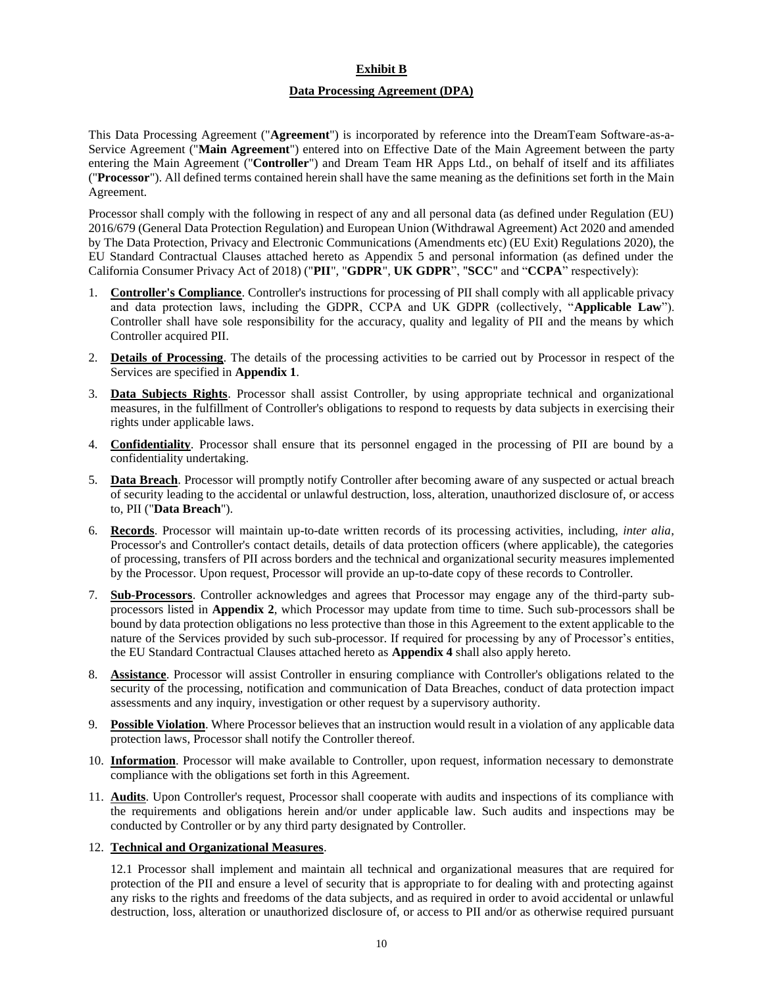### **Exhibit B**

### **Data Processing Agreement (DPA)**

This Data Processing Agreement ("**Agreement**") is incorporated by reference into the DreamTeam Software-as-a-Service Agreement ("**Main Agreement**") entered into on Effective Date of the Main Agreement between the party entering the Main Agreement ("**Controller**") and Dream Team HR Apps Ltd., on behalf of itself and its affiliates ("**Processor**"). All defined terms contained herein shall have the same meaning as the definitions set forth in the Main Agreement.

Processor shall comply with the following in respect of any and all personal data (as defined under Regulation (EU) 2016/679 (General Data Protection Regulation) and European Union (Withdrawal Agreement) Act 2020 and amended by The Data Protection, Privacy and Electronic Communications (Amendments etc) (EU Exit) Regulations 2020), the EU Standard Contractual Clauses attached hereto as Appendix 5 and personal information (as defined under the California Consumer Privacy Act of 2018) ("**PII**", "**GDPR**", **UK GDPR**", "**SCC**" and "**CCPA**" respectively):

- 1. **Controller's Compliance**. Controller's instructions for processing of PII shall comply with all applicable privacy and data protection laws, including the GDPR, CCPA and UK GDPR (collectively, "**Applicable Law**"). Controller shall have sole responsibility for the accuracy, quality and legality of PII and the means by which Controller acquired PII.
- 2. **Details of Processing**. The details of the processing activities to be carried out by Processor in respect of the Services are specified in **Appendix 1**.
- 3. **Data Subjects Rights**. Processor shall assist Controller, by using appropriate technical and organizational measures, in the fulfillment of Controller's obligations to respond to requests by data subjects in exercising their rights under applicable laws.
- 4. **Confidentiality**. Processor shall ensure that its personnel engaged in the processing of PII are bound by a confidentiality undertaking.
- 5. **Data Breach**. Processor will promptly notify Controller after becoming aware of any suspected or actual breach of security leading to the accidental or unlawful destruction, loss, alteration, unauthorized disclosure of, or access to, PII ("**Data Breach**").
- 6. **Records**. Processor will maintain up-to-date written records of its processing activities, including, *inter alia*, Processor's and Controller's contact details, details of data protection officers (where applicable), the categories of processing, transfers of PII across borders and the technical and organizational security measures implemented by the Processor. Upon request, Processor will provide an up-to-date copy of these records to Controller.
- 7. **Sub-Processors**. Controller acknowledges and agrees that Processor may engage any of the third-party subprocessors listed in **Appendix 2**, which Processor may update from time to time. Such sub-processors shall be bound by data protection obligations no less protective than those in this Agreement to the extent applicable to the nature of the Services provided by such sub-processor. If required for processing by any of Processor's entities, the EU Standard Contractual Clauses attached hereto as **Appendix 4** shall also apply hereto.
- 8. **Assistance**. Processor will assist Controller in ensuring compliance with Controller's obligations related to the security of the processing, notification and communication of Data Breaches, conduct of data protection impact assessments and any inquiry, investigation or other request by a supervisory authority.
- 9. **Possible Violation**. Where Processor believes that an instruction would result in a violation of any applicable data protection laws, Processor shall notify the Controller thereof.
- 10. **Information**. Processor will make available to Controller, upon request, information necessary to demonstrate compliance with the obligations set forth in this Agreement.
- 11. **Audits**. Upon Controller's request, Processor shall cooperate with audits and inspections of its compliance with the requirements and obligations herein and/or under applicable law. Such audits and inspections may be conducted by Controller or by any third party designated by Controller.

### 12. **Technical and Organizational Measures**.

12.1 Processor shall implement and maintain all technical and organizational measures that are required for protection of the PII and ensure a level of security that is appropriate to for dealing with and protecting against any risks to the rights and freedoms of the data subjects, and as required in order to avoid accidental or unlawful destruction, loss, alteration or unauthorized disclosure of, or access to PII and/or as otherwise required pursuant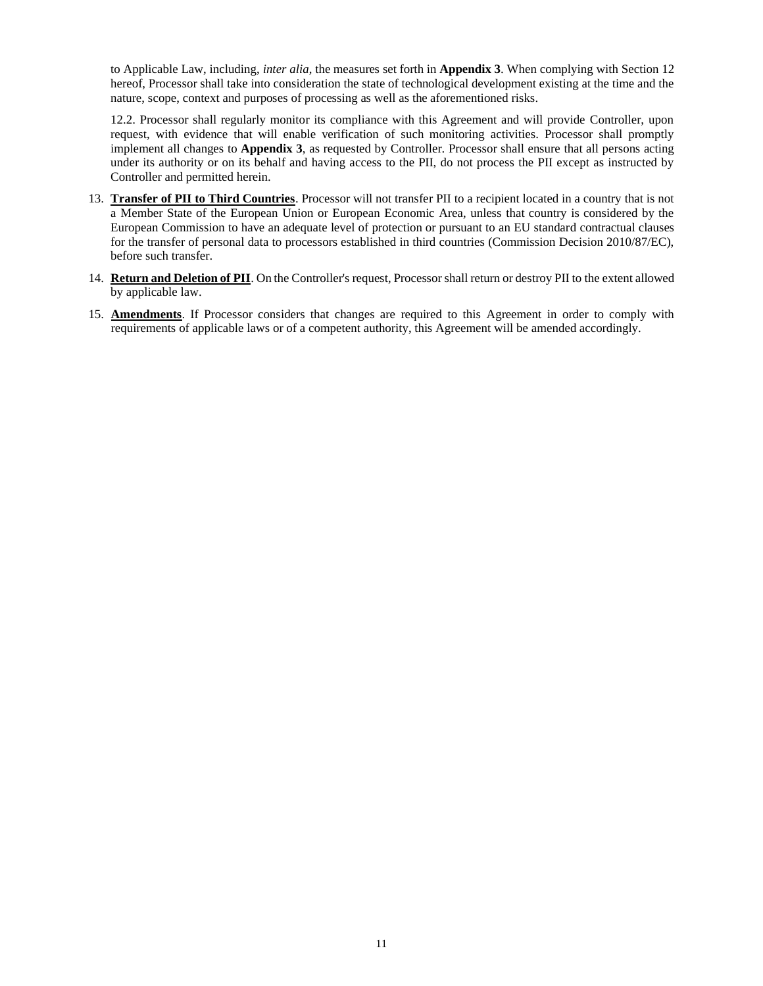to Applicable Law, including, *inter alia*, the measures set forth in **Appendix 3**. When complying with Section 12 hereof, Processor shall take into consideration the state of technological development existing at the time and the nature, scope, context and purposes of processing as well as the aforementioned risks.

12.2. Processor shall regularly monitor its compliance with this Agreement and will provide Controller, upon request, with evidence that will enable verification of such monitoring activities. Processor shall promptly implement all changes to **Appendix 3**, as requested by Controller. Processor shall ensure that all persons acting under its authority or on its behalf and having access to the PII, do not process the PII except as instructed by Controller and permitted herein.

- 13. **Transfer of PII to Third Countries**. Processor will not transfer PII to a recipient located in a country that is not a Member State of the European Union or European Economic Area, unless that country is considered by the European Commission to have an adequate level of protection or pursuant to an EU standard contractual clauses for the transfer of personal data to processors established in third countries (Commission Decision 2010/87/EC), before such transfer.
- 14. **Return and Deletion of PII**. On the Controller's request, Processor shall return or destroy PII to the extent allowed by applicable law.
- 15. **Amendments**. If Processor considers that changes are required to this Agreement in order to comply with requirements of applicable laws or of a competent authority, this Agreement will be amended accordingly.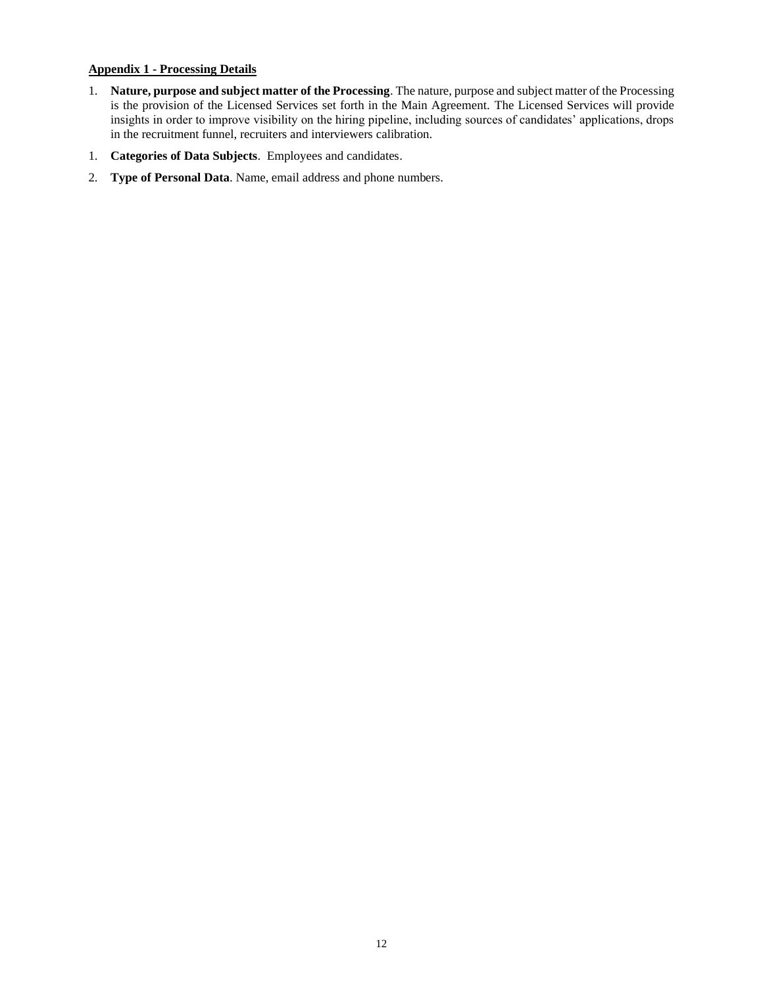## **Appendix 1 - Processing Details**

- 1. **Nature, purpose and subject matter of the Processing**. The nature, purpose and subject matter of the Processing is the provision of the Licensed Services set forth in the Main Agreement. The Licensed Services will provide insights in order to improve visibility on the hiring pipeline, including sources of candidates' applications, drops in the recruitment funnel, recruiters and interviewers calibration.
- 1. **Categories of Data Subjects**. Employees and candidates.
- 2. **Type of Personal Data**. Name, email address and phone numbers.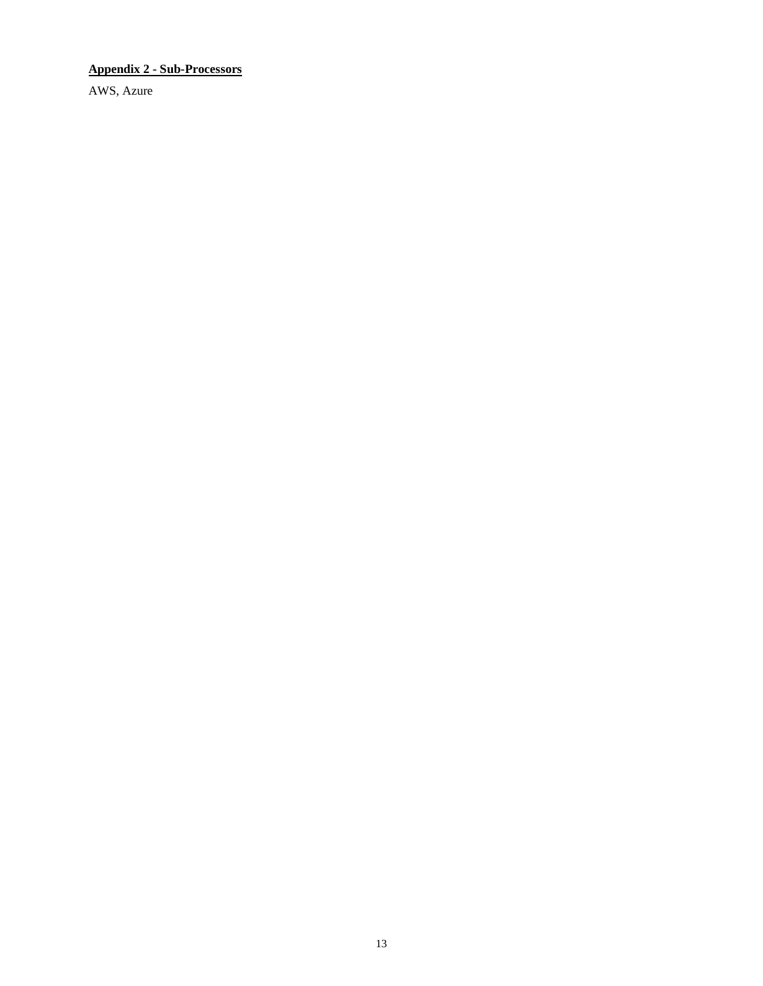# **Appendix 2 - Sub-Processors**

AWS, Azure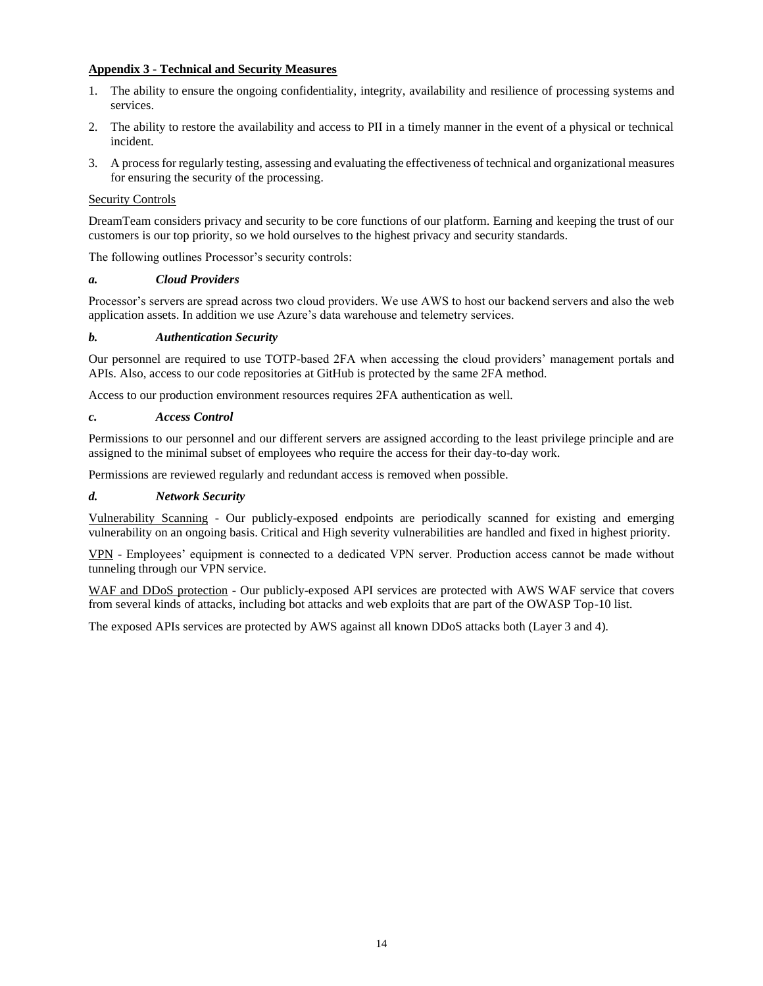## **Appendix 3 - Technical and Security Measures**

- 1. The ability to ensure the ongoing confidentiality, integrity, availability and resilience of processing systems and services.
- 2. The ability to restore the availability and access to PII in a timely manner in the event of a physical or technical incident.
- 3. A process for regularly testing, assessing and evaluating the effectiveness of technical and organizational measures for ensuring the security of the processing.

## Security Controls

DreamTeam considers privacy and security to be core functions of our platform. Earning and keeping the trust of our customers is our top priority, so we hold ourselves to the highest privacy and security standards.

The following outlines Processor's security controls:

## *a. Cloud Providers*

Processor's servers are spread across two cloud providers. We use AWS to host our backend servers and also the web application assets. In addition we use Azure's data warehouse and telemetry services.

## *b. Authentication Security*

Our personnel are required to use TOTP-based 2FA when accessing the cloud providers' management portals and APIs. Also, access to our code repositories at GitHub is protected by the same 2FA method.

Access to our production environment resources requires 2FA authentication as well.

## *c. Access Control*

Permissions to our personnel and our different servers are assigned according to the least privilege principle and are assigned to the minimal subset of employees who require the access for their day-to-day work.

Permissions are reviewed regularly and redundant access is removed when possible.

## *d. Network Security*

Vulnerability Scanning - Our publicly-exposed endpoints are periodically scanned for existing and emerging vulnerability on an ongoing basis. Critical and High severity vulnerabilities are handled and fixed in highest priority.

VPN - Employees' equipment is connected to a dedicated VPN server. Production access cannot be made without tunneling through our VPN service.

WAF and DDoS protection - Our publicly-exposed API services are protected with AWS WAF service that covers from several kinds of attacks, including bot attacks and web exploits that are part of the OWASP Top-10 list.

The exposed APIs services are protected by AWS against all known DDoS attacks both (Layer 3 and 4).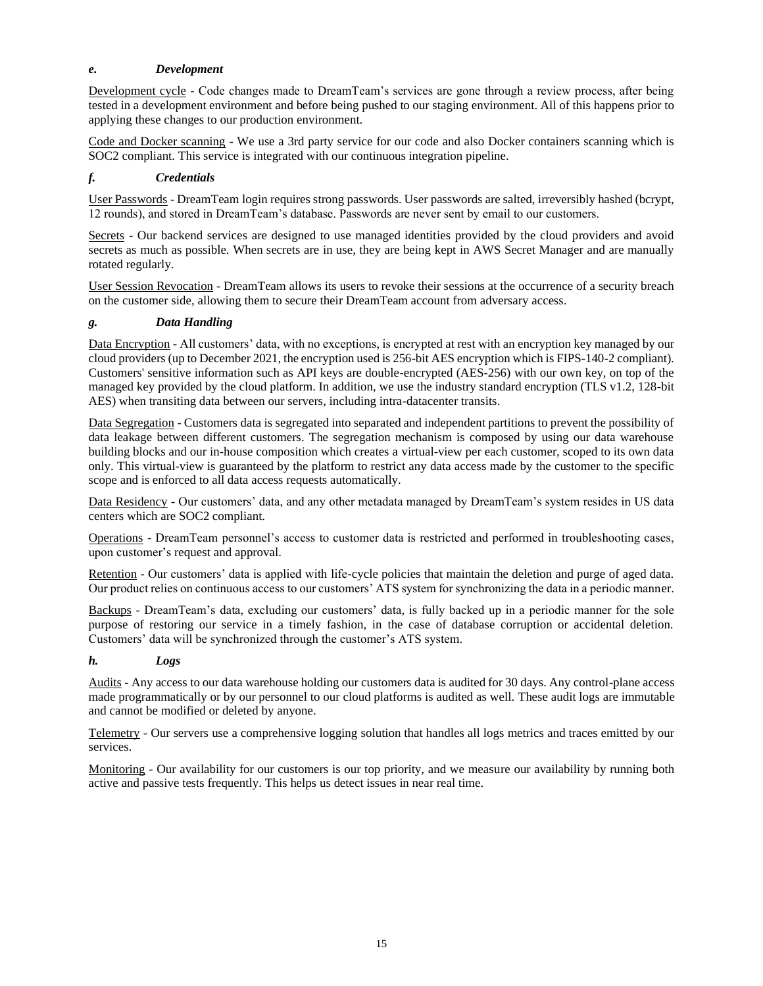## *e. Development*

Development cycle - Code changes made to DreamTeam's services are gone through a review process, after being tested in a development environment and before being pushed to our staging environment. All of this happens prior to applying these changes to our production environment.

Code and Docker scanning - We use a 3rd party service for our code and also Docker containers scanning which is SOC2 compliant. This service is integrated with our continuous integration pipeline.

## *f. Credentials*

User Passwords - DreamTeam login requires strong passwords. User passwords are salted, irreversibly hashed (bcrypt, 12 rounds), and stored in DreamTeam's database. Passwords are never sent by email to our customers.

Secrets - Our backend services are designed to use managed identities provided by the cloud providers and avoid secrets as much as possible. When secrets are in use, they are being kept in AWS Secret Manager and are manually rotated regularly.

User Session Revocation - DreamTeam allows its users to revoke their sessions at the occurrence of a security breach on the customer side, allowing them to secure their DreamTeam account from adversary access.

## *g. Data Handling*

Data Encryption - All customers' data, with no exceptions, is encrypted at rest with an encryption key managed by our cloud providers (up to December 2021, the encryption used is 256-bit AES encryption which is FIPS-140-2 compliant). Customers' sensitive information such as API keys are double-encrypted (AES-256) with our own key, on top of the managed key provided by the cloud platform. In addition, we use the industry standard encryption (TLS v1.2, 128-bit AES) when transiting data between our servers, including intra-datacenter transits.

Data Segregation - Customers data is segregated into separated and independent partitions to prevent the possibility of data leakage between different customers. The segregation mechanism is composed by using our data warehouse building blocks and our in-house composition which creates a virtual-view per each customer, scoped to its own data only. This virtual-view is guaranteed by the platform to restrict any data access made by the customer to the specific scope and is enforced to all data access requests automatically.

Data Residency - Our customers' data, and any other metadata managed by DreamTeam's system resides in US data centers which are SOC2 compliant.

Operations - DreamTeam personnel's access to customer data is restricted and performed in troubleshooting cases, upon customer's request and approval.

Retention - Our customers' data is applied with life-cycle policies that maintain the deletion and purge of aged data. Our product relies on continuous access to our customers' ATS system for synchronizing the data in a periodic manner.

Backups - DreamTeam's data, excluding our customers' data, is fully backed up in a periodic manner for the sole purpose of restoring our service in a timely fashion, in the case of database corruption or accidental deletion. Customers' data will be synchronized through the customer's ATS system.

## *h. Logs*

Audits - Any access to our data warehouse holding our customers data is audited for 30 days. Any control-plane access made programmatically or by our personnel to our cloud platforms is audited as well. These audit logs are immutable and cannot be modified or deleted by anyone.

Telemetry - Our servers use a comprehensive logging solution that handles all logs metrics and traces emitted by our services.

Monitoring - Our availability for our customers is our top priority, and we measure our availability by running both active and passive tests frequently. This helps us detect issues in near real time.